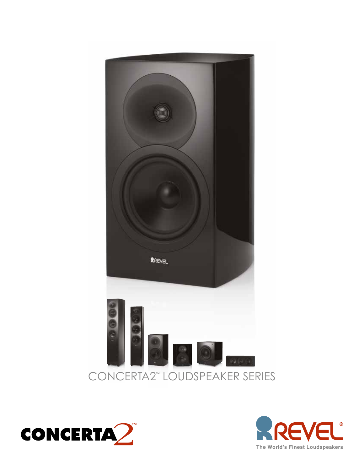



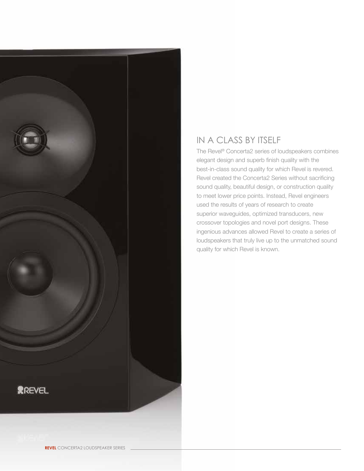

# IN A CLASS BY ITSELF

The Revel® Concerta2 series of loudspeakers combines elegant design and superb finish quality with the best-in-class sound quality for which Revel is revered. Revel created the Concerta2 Series without sacrificing sound quality, beautiful design, or construction quality to meet lower price points. Instead, Revel engineers used the results of years of research to create superior waveguides, optimized transducers, new crossover topologies and novel port designs. These ingenious advances allowed Revel to create a series of loudspeakers that truly live up to the unmatched sound quality for which Revel is known.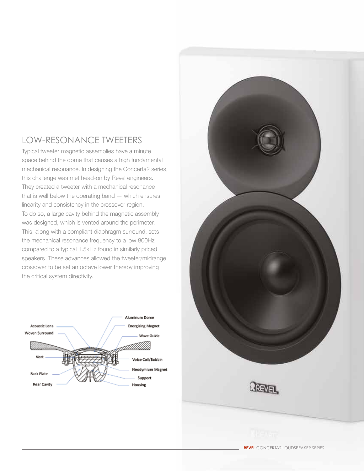### LOW-RESONANCE TWEETERS

Typical tweeter magnetic assemblies have a minute space behind the dome that causes a high fundamental mechanical resonance. In designing the Concerta2 series, this challenge was met head-on by Revel engineers. They created a tweeter with a mechanical resonance that is well below the operating band — which ensures linearity and consistency in the crossover region. To do so, a large cavity behind the magnetic assembly was designed, which is vented around the perimeter. This, along with a compliant diaphragm surround, sets the mechanical resonance frequency to a low 800Hz compared to a typical 1.5kHz found in similarly priced speakers. These advances allowed the tweeter/midrange crossover to be set an octave lower thereby improving the critical system directivity.



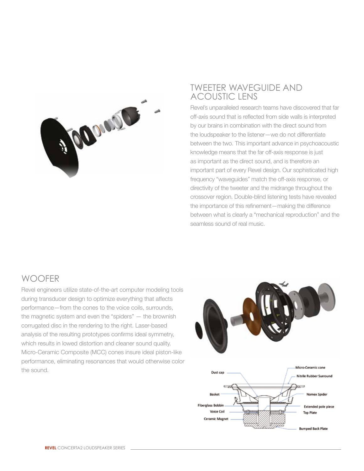

#### TWEETER WAVEGUIDE AND ACOUSTIC LENS

Revel's unparalleled research teams have discovered that far off-axis sound that is reflected from side walls is interpreted by our brains in combination with the direct sound from the loudspeaker to the listener—we do not differentiate between the two. This important advance in psychoacoustic knowledge means that the far off-axis response is just as important as the direct sound, and is therefore an important part of every Revel design. Our sophisticated high frequency "waveguides" match the off-axis response, or directivity of the tweeter and the midrange throughout the crossover region. Double-blind listening tests have revealed the importance of this refinement—making the difference between what is clearly a "mechanical reproduction" and the seamless sound of real music.

#### **WOOFFR**

Revel engineers utilize state-of-the-art computer modeling tools during transducer design to optimize everything that affects performance—from the cones to the voice coils, surrounds, the magnetic system and even the "spiders" — the brownish corrugated disc in the rendering to the right. Laser-based analysis of the resulting prototypes confirms ideal symmetry, which results in lowed distortion and cleaner sound quality. Micro-Ceramic Composite (MCC) cones insure ideal piston-like performance, eliminating resonances that would otherwise color the sound.

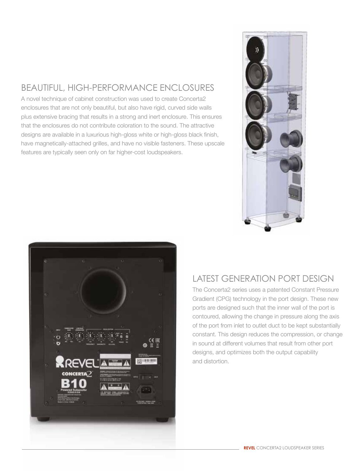## BEAUTIFUL, HIGH-PERFORMANCE ENCLOSURES

A novel technique of cabinet construction was used to create Concerta2 enclosures that are not only beautiful, but also have rigid, curved side walls plus extensive bracing that results in a strong and inert enclosure. This ensures that the enclosures do not contribute coloration to the sound. The attractive designs are available in a luxurious high-gloss white or high-gloss black finish, have magnetically-attached grilles, and have no visible fasteners. These upscale features are typically seen only on far higher-cost loudspeakers.





### LATEST GENERATION PORT DESIGN

The Concerta2 series uses a patented Constant Pressure Gradient (CPG) technology in the port design. These new ports are designed such that the inner wall of the port is contoured, allowing the change in pressure along the axis of the port from inlet to outlet duct to be kept substantially constant. This design reduces the compression, or change in sound at different volumes that result from other port designs, and optimizes both the output capability and distortion.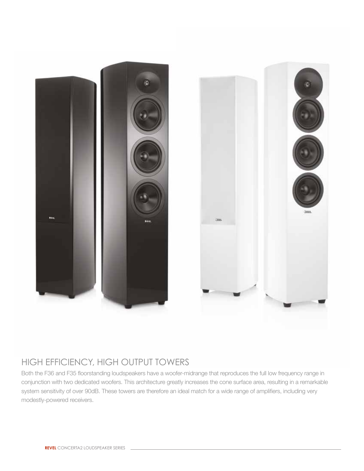



### HIGH EFFICIENCY, HIGH OUTPUT TOWERS

Both the F36 and F35 floorstanding loudspeakers have a woofer-midrange that reproduces the full low frequency range in conjunction with two dedicated woofers. This architecture greatly increases the cone surface area, resulting in a remarkable system sensitivity of over 90dB. These towers are therefore an ideal match for a wide range of amplifiers, including very modestly-powered receivers.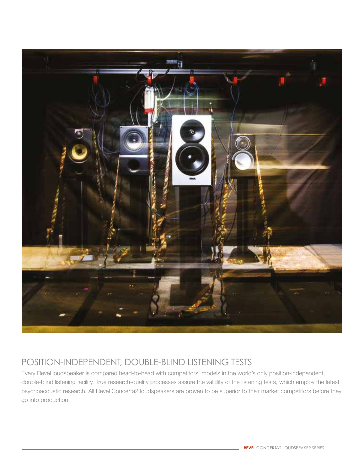

# POSITION-INDEPENDENT, DOUBLE-BLIND LISTENING TESTS

Every Revel loudspeaker is compared head-to-head with competitors' models in the world's only position-independent, double-blind listening facility. True research-quality processes assure the validity of the listening tests, which employ the latest psychoacoustic research. All Revel Concerta2 loudspeakers are proven to be superior to their market competitors before they go into production.